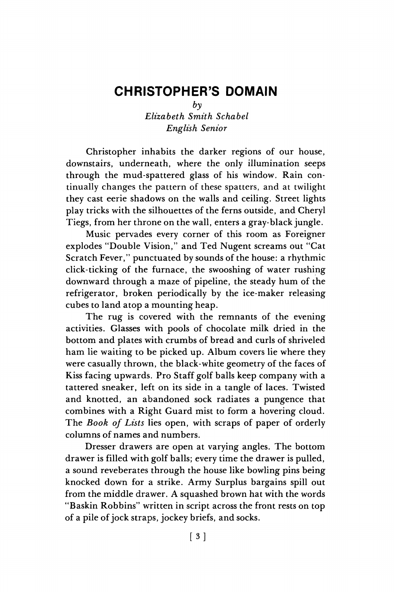## **CHRISTOPHER'S DOMAIN**

 $b\nu$ 

*Elizabeth Smith Schabel English Senior* 

Christopher inhabits the darker regions of our house, downstairs, underneath, where the only illumination seeps through the mud-spattered glass of his window. Rain continually changes the pattern of these spatters, and at twilight they cast eerie shadows on the walls and ceiling. Street lights play tricks with the silhouettes of the ferns outside, and Cheryl Tiegs, from her throne on the wall, enters a gray-black jungle.

Music pervades every corner of this room as Foreigner explodes "Double Vision," and Ted Nugent screams out "Cat Scratch Fever," punctuated by sounds of the house: a rhythmic click-ticking of the furnace, the swooshing of water rushing downward through a maze of pipeline, the steady hum of the refrigerator, broken periodically by the ice-maker releasing cubes to land atop a mounting heap.

The rug is covered with the remnants of the evening activities. Glasses with pools of chocolate milk dried in the bottom and plates with crumbs of bread and curls of shriveled ham lie waiting to be picked up. Album covers lie where they were casually thrown, the black-white geometry of the faces of Kiss facing upwards. Pro Staff golf balls keep company with a tattered sneaker, left on its side in a tangle of laces. Twisted and knotted, an abandoned sock radiates a pungence that combines with a Right Guard mist to form a hovering cloud. The *Book of Lists* lies open, with scraps of paper of orderly columns of names and numbers.

Dresser drawers are open at varying angles. The bottom drawer is filled with golf balls; every time the drawer is pulled, a sound reveberates through the house like bowling pins being knocked down for a strike. Army Surplus bargains spill out from the middle drawer. A squashed brown hat with the words "Baskin Robbins" written in script across the front rests on top of a pile of jock straps, jockey briefs, and socks.